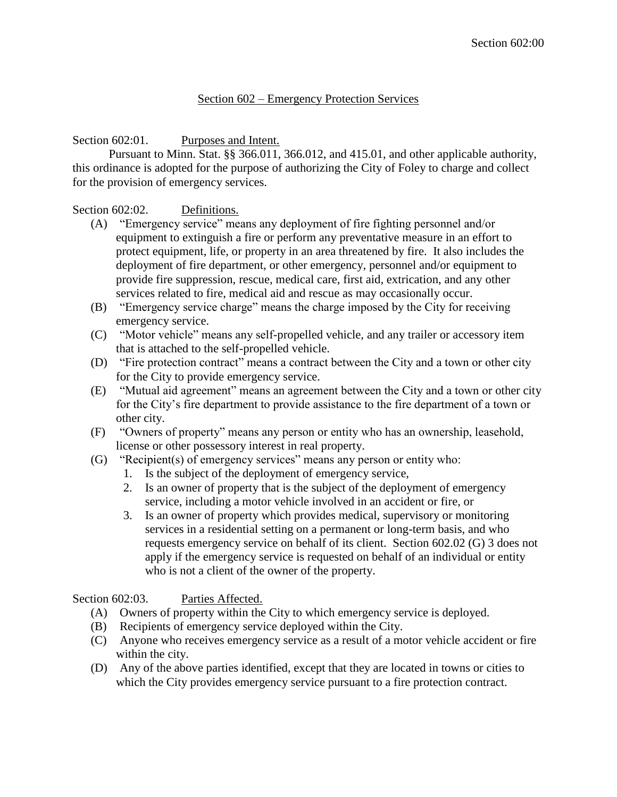## Section 602 – Emergency Protection Services

# Section 602:01. Purposes and Intent.

Pursuant to Minn. Stat. §§ 366.011, 366.012, and 415.01, and other applicable authority, this ordinance is adopted for the purpose of authorizing the City of Foley to charge and collect for the provision of emergency services.

## Section 602:02. Definitions.

- (A) "Emergency service" means any deployment of fire fighting personnel and/or equipment to extinguish a fire or perform any preventative measure in an effort to protect equipment, life, or property in an area threatened by fire. It also includes the deployment of fire department, or other emergency, personnel and/or equipment to provide fire suppression, rescue, medical care, first aid, extrication, and any other services related to fire, medical aid and rescue as may occasionally occur.
- (B) "Emergency service charge" means the charge imposed by the City for receiving emergency service.
- (C) "Motor vehicle" means any self-propelled vehicle, and any trailer or accessory item that is attached to the self-propelled vehicle.
- (D) "Fire protection contract" means a contract between the City and a town or other city for the City to provide emergency service.
- (E) "Mutual aid agreement" means an agreement between the City and a town or other city for the City's fire department to provide assistance to the fire department of a town or other city.
- (F) "Owners of property" means any person or entity who has an ownership, leasehold, license or other possessory interest in real property.
- (G) "Recipient(s) of emergency services" means any person or entity who:
	- 1. Is the subject of the deployment of emergency service,
	- 2. Is an owner of property that is the subject of the deployment of emergency service, including a motor vehicle involved in an accident or fire, or
	- 3. Is an owner of property which provides medical, supervisory or monitoring services in a residential setting on a permanent or long-term basis, and who requests emergency service on behalf of its client. Section 602.02 (G) 3 does not apply if the emergency service is requested on behalf of an individual or entity who is not a client of the owner of the property.

# Section 602:03. Parties Affected.

- (A) Owners of property within the City to which emergency service is deployed.
- (B) Recipients of emergency service deployed within the City.
- (C) Anyone who receives emergency service as a result of a motor vehicle accident or fire within the city.
- (D) Any of the above parties identified, except that they are located in towns or cities to which the City provides emergency service pursuant to a fire protection contract.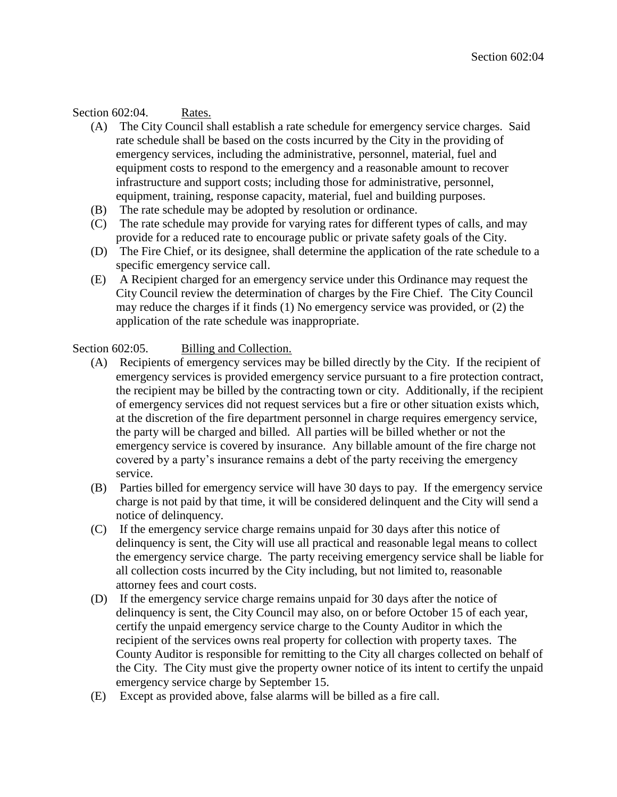## Section 602:04. Rates.

- (A) The City Council shall establish a rate schedule for emergency service charges. Said rate schedule shall be based on the costs incurred by the City in the providing of emergency services, including the administrative, personnel, material, fuel and equipment costs to respond to the emergency and a reasonable amount to recover infrastructure and support costs; including those for administrative, personnel, equipment, training, response capacity, material, fuel and building purposes.
- (B) The rate schedule may be adopted by resolution or ordinance.
- (C) The rate schedule may provide for varying rates for different types of calls, and may provide for a reduced rate to encourage public or private safety goals of the City.
- (D) The Fire Chief, or its designee, shall determine the application of the rate schedule to a specific emergency service call.
- (E) A Recipient charged for an emergency service under this Ordinance may request the City Council review the determination of charges by the Fire Chief. The City Council may reduce the charges if it finds (1) No emergency service was provided, or (2) the application of the rate schedule was inappropriate.

#### Section 602:05. Billing and Collection.

- (A) Recipients of emergency services may be billed directly by the City. If the recipient of emergency services is provided emergency service pursuant to a fire protection contract, the recipient may be billed by the contracting town or city. Additionally, if the recipient of emergency services did not request services but a fire or other situation exists which, at the discretion of the fire department personnel in charge requires emergency service, the party will be charged and billed. All parties will be billed whether or not the emergency service is covered by insurance. Any billable amount of the fire charge not covered by a party's insurance remains a debt of the party receiving the emergency service.
- (B) Parties billed for emergency service will have 30 days to pay. If the emergency service charge is not paid by that time, it will be considered delinquent and the City will send a notice of delinquency.
- (C) If the emergency service charge remains unpaid for 30 days after this notice of delinquency is sent, the City will use all practical and reasonable legal means to collect the emergency service charge. The party receiving emergency service shall be liable for all collection costs incurred by the City including, but not limited to, reasonable attorney fees and court costs.
- (D) If the emergency service charge remains unpaid for 30 days after the notice of delinquency is sent, the City Council may also, on or before October 15 of each year, certify the unpaid emergency service charge to the County Auditor in which the recipient of the services owns real property for collection with property taxes. The County Auditor is responsible for remitting to the City all charges collected on behalf of the City. The City must give the property owner notice of its intent to certify the unpaid emergency service charge by September 15.
- (E) Except as provided above, false alarms will be billed as a fire call.